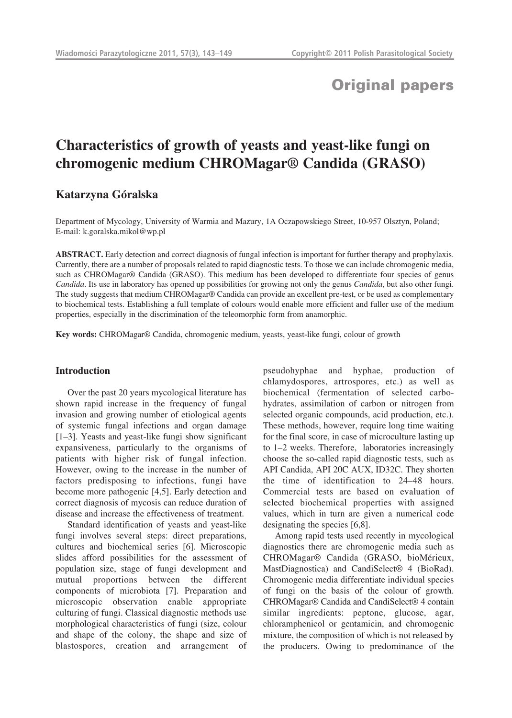## **Original papers**

# **Characteristics of growth of yeasts and yeast-like fungi on chromogenic medium CHROMagar® Candida (GRASO)**

## **Katarzyna Góralska**

Department of Mycology, University of Warmia and Mazury, 1A Oczapowskiego Street, 10-957 Olsztyn, Poland; E-mail: k.goralska.mikol@wp.pl

**ABSTRACT.** Early detection and correct diagnosis of fungal infection is important for further therapy and prophylaxis. Currently, there are a number of proposals related to rapid diagnostic tests. To those we can include chromogenic media, such as CHROMagar® Candida (GRASO). This medium has been developed to differentiate four species of genus *Candida*. Its use in laboratory has opened up possibilities for growing not only the genus *Candida*, but also other fungi. The study suggests that medium CHROMagar® Candida can provide an excellent pre-test, or be used as complementary to biochemical tests. Establishing a full template of colours would enable more efficient and fuller use of the medium properties, especially in the discrimination of the teleomorphic form from anamorphic.

**Key words:** CHROMagar® Candida, chromogenic medium, yeasts, yeast-like fungi, colour of growth

### **Introduction**

Over the past 20 years mycological literature has shown rapid increase in the frequency of fungal invasion and growing number of etiological agents of systemic fungal infections and organ damage [1–3]. Yeasts and yeast-like fungi show significant expansiveness, particularly to the organisms of patients with higher risk of fungal infection. However, owing to the increase in the number of factors predisposing to infections, fungi have become more pathogenic [4,5]. Early detection and correct diagnosis of mycosis can reduce duration of disease and increase the effectiveness of treatment.

Standard identification of yeasts and yeast-like fungi involves several steps: direct preparations, cultures and biochemical series [6]. Microscopic slides afford possibilities for the assessment of population size, stage of fungi development and mutual proportions between the different components of microbiota [7]. Preparation and microscopic observation enable appropriate culturing of fungi. Classical diagnostic methods use morphological characteristics of fungi (size, colour and shape of the colony, the shape and size of blastospores, creation and arrangement of pseudohyphae and hyphae, production of chlamydospores, artrospores, etc.) as well as biochemical (fermentation of selected carbohydrates, assimilation of carbon or nitrogen from selected organic compounds, acid production, etc.). These methods, however, require long time waiting for the final score, in case of microculture lasting up to 1–2 weeks. Therefore, laboratories increasingly choose the so-called rapid diagnostic tests, such as API Candida, API 20C AUX, ID32C. They shorten the time of identification to 24–48 hours. Commercial tests are based on evaluation of selected biochemical properties with assigned values, which in turn are given a numerical code designating the species [6,8].

Among rapid tests used recently in mycological diagnostics there are chromogenic media such as CHROMagar® Candida (GRASO, bioMérieux, MastDiagnostica) and CandiSelect<sup>®</sup> 4 (BioRad). Chromogenic media differentiate individual species of fungi on the basis of the colour of growth. CHROMagar® Candida and CandiSelect® 4 contain similar ingredients: peptone, glucose, agar, chloramphenicol or gentamicin, and chromogenic mixture, the composition of which is not released by the producers. Owing to predominance of the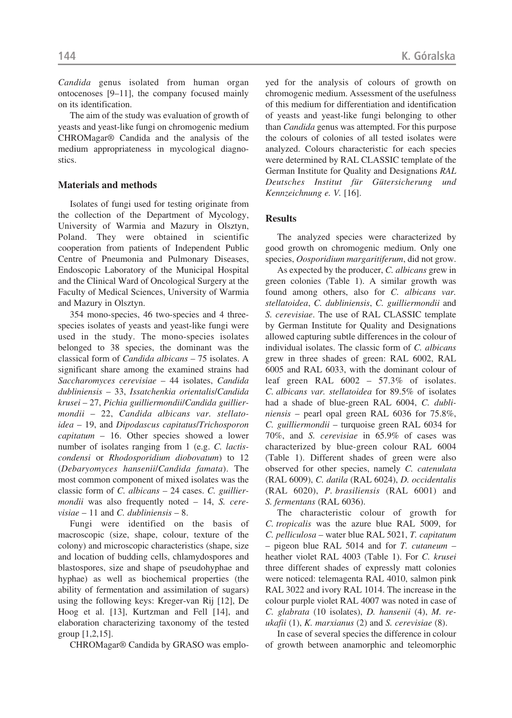*Candida* genus isolated from human organ ontocenoses [9–11], the company focused mainly on its identification.

The aim of the study was evaluation of growth of yeasts and yeast-like fungi on chromogenic medium CHROMagar® Candida and the analysis of the medium appropriateness in mycological diagnostics.

## **Materials and methods**

Isolates of fungi used for testing originate from the collection of the Department of Mycology, University of Warmia and Mazury in Olsztyn, Poland. They were obtained in scientific cooperation from patients of Independent Public Centre of Pneumonia and Pulmonary Diseases, Endoscopic Laboratory of the Municipal Hospital and the Clinical Ward of Oncological Surgery at the Faculty of Medical Sciences, University of Warmia and Mazury in Olsztyn.

354 mono-species, 46 two-species and 4 threespecies isolates of yeasts and yeast-like fungi were used in the study. The mono-species isolates belonged to 38 species, the dominant was the classical form of *Candida albicans* – 75 isolates. A significant share among the examined strains had *Saccharomyces cerevisiae* – 44 isolates, *Candida dubliniensis* – 33, *Issatchenkia orientalis*/*Candida krusei* – 27, *Pichia guilliermondii*/*Candida guilliermondii* – 22, *Candida albicans var. stellatoidea* – 19, and *Dipodascus capitatus*/*Trichosporon capitatum* – 16. Other species showed a lower number of isolates ranging from 1 (e.g. *C. lactiscondensi* or *Rhodosporidium diobovatum*) to 12 (*Debaryomyces hansenii*/*Candida famata*). The most common component of mixed isolates was the classic form of *C. albicans* – 24 cases. *C. guilliermondii* was also frequently noted – 14, *S. cerevisiae* – 11 and *C. dubliniensis* – 8.

Fungi were identified on the basis of macroscopic (size, shape, colour, texture of the colony) and microscopic characteristics (shape, size and location of budding cells, chlamydospores and blastospores, size and shape of pseudohyphae and hyphae) as well as biochemical properties (the ability of fermentation and assimilation of sugars) using the following keys: Kreger-van Rij [12], De Hoog et al. [13], Kurtzman and Fell [14], and elaboration characterizing taxonomy of the tested group [1,2,15].

CHROMagar® Candida by GRASO was emplo-

yed for the analysis of colours of growth on chromogenic medium. Assessment of the usefulness of this medium for differentiation and identification of yeasts and yeast-like fungi belonging to other than *Candida* genus was attempted. For this purpose the colours of colonies of all tested isolates were analyzed. Colours characteristic for each species were determined by RAL CLASSIC template of the German Institute for Quality and Designations *RAL Deutsches Institut für Gütersicherung und Kennzeichnung e. V.* [16].

### **Results**

The analyzed species were characterized by good growth on chromogenic medium. Only one species, *Oosporidium margaritiferum*, did not grow.

As expected by the producer, *C. albicans* grew in green colonies (Table 1). A similar growth was found among others, also for *C. albicans var. stellatoidea*, *C. dubliniensis*, *C. guilliermondii* and *S. cerevisiae*. The use of RAL CLASSIC template by German Institute for Quality and Designations allowed capturing subtle differences in the colour of individual isolates. The classic form of *C. albicans* grew in three shades of green: RAL 6002, RAL 6005 and RAL 6033, with the dominant colour of leaf green RAL 6002 – 57.3% of isolates. *C. albicans var. stellatoidea* for 89.5% of isolates had a shade of blue-green RAL 6004, *C. dubliniensis* – pearl opal green RAL 6036 for 75.8%, *C. guilliermondii* – turquoise green RAL 6034 for 70%, and *S. cerevisiae* in 65.9% of cases was characterized by blue-green colour RAL 6004 (Table 1). Different shades of green were also observed for other species, namely *C. catenulata* (RAL 6009), *C. datila* (RAL 6024), *D. occidentalis* (RAL 6020), *P. brasiliensis* (RAL 6001) and *S. fermentans* (RAL 6036).

The characteristic colour of growth for *C. tropicalis* was the azure blue RAL 5009, for *C. pelliculosa* – water blue RAL 5021, *T. capitatum* – pigeon blue RAL 5014 and for *T. cutaneum* – heather violet RAL 4003 (Table 1). For *C. krusei* three different shades of expressly matt colonies were noticed: telemagenta RAL 4010, salmon pink RAL 3022 and ivory RAL 1014. The increase in the colour purple violet RAL 4007 was noted in case of *C. glabrata* (10 isolates), *D. hansenii* (4), *M. reukafii* (1), *K. marxianus* (2) and *S. cerevisiae* (8).

In case of several species the difference in colour of growth between anamorphic and teleomorphic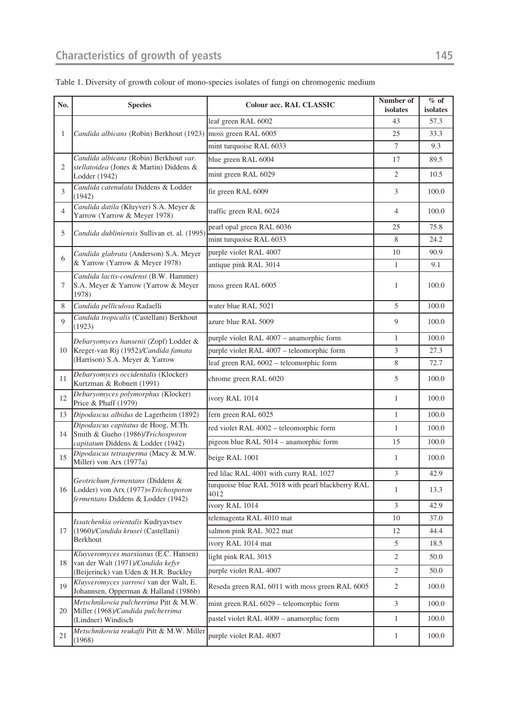| No.            | <b>Species</b>                                                                                                     | <b>Colour acc. RAL CLASSIC</b>                            | Number of<br>isolates                                                                                                                                                                                                                     | $%$ of<br>isolates |
|----------------|--------------------------------------------------------------------------------------------------------------------|-----------------------------------------------------------|-------------------------------------------------------------------------------------------------------------------------------------------------------------------------------------------------------------------------------------------|--------------------|
| 1              |                                                                                                                    | leaf green RAL 6002                                       | 43                                                                                                                                                                                                                                        | 57.3               |
|                | Candida albicans (Robin) Berkhout (1923)                                                                           | moss green RAL 6005                                       | 25                                                                                                                                                                                                                                        | 33.3               |
|                |                                                                                                                    | mint turquoise RAL 6033                                   | 7                                                                                                                                                                                                                                         | 9.3                |
| 2              | Candida albicans (Robin) Berkhout var.<br>stellatoidea (Jones & Martin) Diddens &<br>Lodder (1942)                 | blue green RAL 6004                                       | 17                                                                                                                                                                                                                                        | 89.5               |
|                |                                                                                                                    | mint green RAL 6029                                       | 2                                                                                                                                                                                                                                         | 10.5               |
| 3              | Candida catenulata Diddens & Lodder<br>(1942)                                                                      | fir green RAL 6009                                        | 3                                                                                                                                                                                                                                         | 100.0              |
| $\overline{4}$ | Candida datila (Kluyver) S.A. Meyer &<br>Yarrow (Yarrow & Meyer 1978)                                              | traffic green RAL 6024                                    | 4                                                                                                                                                                                                                                         | 100.0              |
| 5              | Candida dubliniensis Sullivan et. al. (1995)                                                                       | pearl opal green RAL 6036                                 | 25<br>8<br>10<br>1<br>1<br>5<br>9<br>$\mathbf{1}$<br>3<br>8<br>5<br>1<br>$\mathbf{1}$<br>$\mathbf{1}$<br>15<br>1<br>3<br>1<br>$\mathfrak{Z}$<br>10<br>12<br>5<br>2<br>$\sqrt{2}$<br>$\overline{2}$<br>$\mathfrak{Z}$<br>$\mathbf{1}$<br>1 | 75.8               |
|                |                                                                                                                    | mint turquoise RAL 6033                                   |                                                                                                                                                                                                                                           | 24.2               |
| 6              | Candida glabrata (Anderson) S.A. Meyer                                                                             | purple violet RAL 4007                                    |                                                                                                                                                                                                                                           | 90.9               |
|                | & Yarrow (Yarrow & Meyer 1978)                                                                                     | antique pink RAL 3014                                     |                                                                                                                                                                                                                                           | 9.1                |
| 7              | Candida lactis-condensi (B.W. Hammer)<br>S.A. Meyer & Yarrow (Yarrow & Meyer<br>1978)                              | moss green RAL 6005                                       |                                                                                                                                                                                                                                           | 100.0              |
| 8              | Candida pelliculosa Radaelli                                                                                       | water blue RAL 5021                                       |                                                                                                                                                                                                                                           | 100.0              |
| $\mathbf Q$    | Candida tropicalis (Castellani) Berkhout<br>(1923)                                                                 | azure blue RAL 5009                                       |                                                                                                                                                                                                                                           | 100.0              |
|                | Debaryomyces hansenii (Zopf) Lodder &<br>Kreger-van Rij (1952)/Candida famata<br>(Harrison) S.A. Meyer & Yarrow    | purple violet RAL 4007 - anamorphic form                  |                                                                                                                                                                                                                                           | 100.0              |
| 10             |                                                                                                                    | purple violet RAL 4007 - teleomorphic form                |                                                                                                                                                                                                                                           | 27.3               |
|                |                                                                                                                    | leaf green RAL 6002 - teleomorphic form                   |                                                                                                                                                                                                                                           | 72.7               |
| 11             | Debaryomyces occidentalis (Klocker)<br>Kurtzman & Robnett (1991)                                                   | chrome green RAL 6020                                     |                                                                                                                                                                                                                                           | 100.0              |
| 12             | Debaryomyces polymorphus (Klocker)<br>Price & Phaff (1979)                                                         | ivory RAL 1014                                            |                                                                                                                                                                                                                                           | 100.0              |
| 13             | Dipodascus albidus de Lagerheim (1892)                                                                             | fern green RAL 6025                                       |                                                                                                                                                                                                                                           | 100.0              |
| 14             | Dipodascus capitatus de Hoog, M.Th.<br>Smith & Gueho (1986)/Trichosporon<br>capitatum Diddens & Lodder (1942)      | red violet RAL 4002 - teleomorphic form                   |                                                                                                                                                                                                                                           | 100.0              |
|                |                                                                                                                    | pigeon blue RAL 5014 - anamorphic form                    |                                                                                                                                                                                                                                           | 100.0              |
| 15             | Dipodascus tetrasperma (Macy & M.W.<br>Miller) von Arx (1977a)                                                     | beige RAL 1001                                            |                                                                                                                                                                                                                                           | 100.0              |
|                | Geotrichum fermentans (Diddens &<br>Lodder) von Arx (1977)=Trichosporon<br>fermentans Diddens & Lodder (1942)      | red lilac RAL 4001 with curry RAL 1027                    |                                                                                                                                                                                                                                           | 42.9               |
| 16             |                                                                                                                    | turquoise blue RAL 5018 with pearl blackberry RAL<br>4012 |                                                                                                                                                                                                                                           | 13.3               |
|                |                                                                                                                    | ivory RAL 1014                                            |                                                                                                                                                                                                                                           | 42.9               |
|                | Issatchenkia orientalis Kudryavtsev<br>(1960)/Candida krusei (Castellani)<br>Berkhout                              | telemagenta RAL 4010 mat                                  |                                                                                                                                                                                                                                           | 37.0               |
| 17             |                                                                                                                    | salmon pink RAL 3022 mat                                  |                                                                                                                                                                                                                                           | 44.4               |
|                |                                                                                                                    | ivory RAL 1014 mat                                        |                                                                                                                                                                                                                                           | 18.5               |
| 18             | Kluyveromyces marxianus (E.C. Hansen)<br>van der Walt (1971)/Candida kefyr<br>(Beijerinck) van Uden & H.R. Buckley | light pink RAL 3015                                       |                                                                                                                                                                                                                                           | 50.0               |
|                |                                                                                                                    | purple violet RAL 4007                                    |                                                                                                                                                                                                                                           | 50.0               |
| 19             | Kluyveromyces yarrowi van der Walt, E.<br>Johannsen, Opperman & Halland (1986b)                                    | Reseda green RAL 6011 with moss green RAL 6005            |                                                                                                                                                                                                                                           | 100.0              |
|                | Metschnikowia pulcherrima Pitt & M.W.                                                                              | mint green RAL 6029 - teleomorphic form                   |                                                                                                                                                                                                                                           | 100.0              |
| 20             | Miller (1968)/Candida pulcherrima<br>(Lindner) Windisch                                                            | pastel violet RAL 4009 - anamorphic form                  |                                                                                                                                                                                                                                           | 100.0              |
| 21             | Metschnikowia reukafii Pitt & M.W. Miller<br>(1968)                                                                | purple violet RAL 4007                                    |                                                                                                                                                                                                                                           | 100.0              |

## Table 1. Diversity of growth colour of mono-species isolates of fungi on chromogenic medium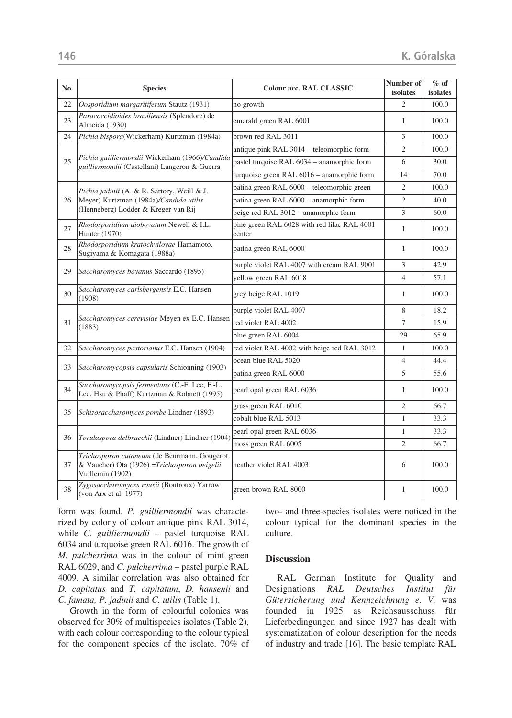| No. | <b>Species</b>                                                                                                               | <b>Colour acc. RAL CLASSIC</b>                        | Number of<br>isolates | $%$ of<br>isolates |
|-----|------------------------------------------------------------------------------------------------------------------------------|-------------------------------------------------------|-----------------------|--------------------|
| 22  | Oosporidium margaritiferum Stautz (1931)                                                                                     | no growth                                             | $\overline{2}$        | 100.0              |
| 23  | Paracoccidioides brasiliensis (Splendore) de<br>Almeida (1930)                                                               | emerald green RAL 6001                                | 1                     | 100.0              |
| 24  | Pichia bispora(Wickerham) Kurtzman (1984a)                                                                                   | brown red RAL 3011                                    | 3                     | 100.0              |
|     | Pichia guilliermondii Wickerham (1966)/Candida<br>guilliermondii (Castellani) Langeron & Guerra                              | antique pink RAL 3014 - teleomorphic form             | $\overline{2}$        | 100.0              |
| 25  |                                                                                                                              | pastel turqoise RAL 6034 - anamorphic form            | 6                     | 30.0               |
|     |                                                                                                                              | turquoise green RAL 6016 - anamorphic form            | 14                    | 70.0               |
|     | Pichia jadinii (A. & R. Sartory, Weill & J.<br>Meyer) Kurtzman (1984a)/Candida utilis<br>(Henneberg) Lodder & Kreger-van Rij | patina green RAL 6000 - teleomorphic green            | $\overline{2}$        | 100.0              |
| 26  |                                                                                                                              | patina green RAL 6000 - anamorphic form               | $\overline{2}$        | 40.0               |
|     |                                                                                                                              | beige red RAL 3012 - anamorphic form                  | 3                     | 60.0               |
| 27  | Rhodosporidium diobovatum Newell & I.L.<br>Hunter (1970)                                                                     | pine green RAL 6028 with red lilac RAL 4001<br>center | $\mathbf{1}$          | 100.0              |
| 28  | Rhodosporidium kratochvilovae Hamamoto,<br>Sugiyama & Komagata (1988a)                                                       | patina green RAL 6000                                 | 1                     | 100.0              |
| 29  | Saccharomyces bayanus Saccardo (1895)                                                                                        | purple violet RAL 4007 with cream RAL 9001            | 3                     | 42.9               |
|     |                                                                                                                              | yellow green RAL 6018                                 | $\overline{4}$        | 57.1               |
| 30  | Saccharomyces carlsbergensis E.C. Hansen<br>(1908)                                                                           | grey beige RAL 1019                                   | 1                     | 100.0              |
|     | Saccharomyces cerevisiae Meyen ex E.C. Hansen<br>(1883)                                                                      | purple violet RAL 4007                                | 8                     | 18.2               |
| 31  |                                                                                                                              | red violet RAL 4002                                   | $\tau$                | 15.9               |
|     |                                                                                                                              | blue green RAL 6004                                   | 29                    | 65.9               |
| 32  | Saccharomyces pastorianus E.C. Hansen (1904)                                                                                 | red violet RAL 4002 with beige red RAL 3012           | 1                     | 100.0              |
| 33  | Saccharomycopsis capsularis Schionning (1903)                                                                                | ocean blue RAL 5020                                   | $\overline{4}$        | 44.4               |
|     |                                                                                                                              | patina green RAL 6000                                 | 5                     | 55.6               |
| 34  | Saccharomycopsis fermentans (C.-F. Lee, F.-L.<br>Lee, Hsu & Phaff) Kurtzman & Robnett (1995)                                 | pearl opal green RAL 6036                             | 1                     | 100.0              |
| 35  | Schizosaccharomyces pombe Lindner (1893)                                                                                     | grass green RAL 6010                                  | $\overline{2}$        | 66.7               |
|     |                                                                                                                              | cobalt blue RAL 5013                                  | $\mathbf{1}$          | 33.3               |
|     |                                                                                                                              | pearl opal green RAL 6036                             | 1                     | 33.3               |
| 36  | Torulaspora delbrueckii (Lindner) Lindner (1904)                                                                             | moss green RAL 6005                                   | $\overline{2}$        | 66.7               |
| 37  | Trichosporon cutaneum (de Beurmann, Gougerot<br>& Vaucher) Ota (1926) = Trichosporon beigelii<br>Vuillemin (1902)            | heather violet RAL 4003                               | 6                     | 100.0              |
| 38  | Zygosaccharomyces rouxii (Boutroux) Yarrow<br>(von Arx et al. 1977)                                                          | green brown RAL 8000                                  | 1                     | 100.0              |

form was found. *P. guilliermondii* was characterized by colony of colour antique pink RAL 3014, while *C. guilliermondii* – pastel turquoise RAL 6034 and turquoise green RAL 6016. The growth of *M. pulcherrima* was in the colour of mint green RAL 6029, and *C. pulcherrima* – pastel purple RAL 4009. A similar correlation was also obtained for *D. capitatus* and *T. capitatum*, *D. hansenii* and *C. famata, P. jadinii* and *C. utilis* (Table 1).

Growth in the form of colourful colonies was observed for 30% of multispecies isolates (Table 2), with each colour corresponding to the colour typical for the component species of the isolate. 70% of two- and three-species isolates were noticed in the colour typical for the dominant species in the culture.

#### **Discussion**

RAL German Institute for Quality and Designations *RAL Deutsches Institut für Gütersicherung und Kennzeichnung e. V.* was founded in 1925 as Reichsausschuss für Lieferbedingungen and since 1927 has dealt with systematization of colour description for the needs of industry and trade [16]. The basic template RAL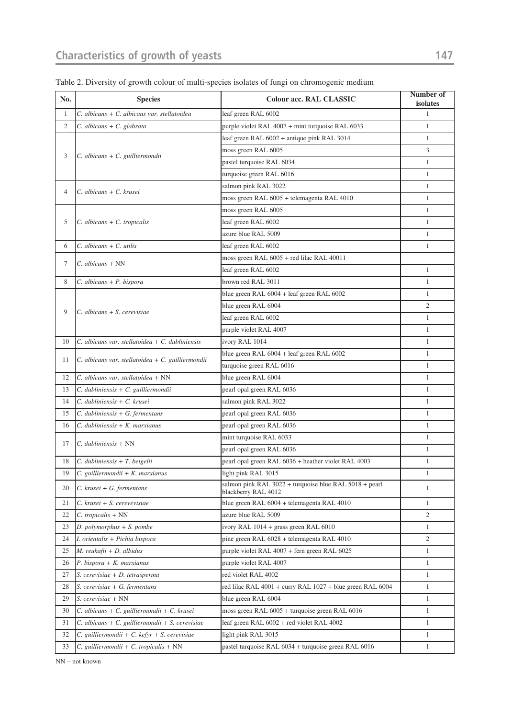| No.            | <b>Species</b>                                        | Colour acc. RAL CLASSIC                                                       | Number of<br>isolates |
|----------------|-------------------------------------------------------|-------------------------------------------------------------------------------|-----------------------|
| $\mathbf{1}$   | C. albicans + C. albicans var. stellatoidea           | leaf green RAL 6002                                                           | $\mathbf{1}$          |
| $\overline{c}$ | $C.$ albicans + $C.$ glabrata                         | purple violet RAL 4007 + mint turquoise RAL 6033                              | $\mathbf{1}$          |
|                | $C.$ albicans + $C.$ guilliermondii                   | leaf green RAL 6002 + antique pink RAL 3014                                   | $\mathbf{1}$          |
|                |                                                       | moss green RAL 6005                                                           | 3                     |
| 3              |                                                       | pastel turquoise RAL 6034                                                     | $\mathbf{1}$          |
|                |                                                       | turquoise green RAL 6016                                                      | $\mathbf{1}$          |
| $\overline{4}$ | C. albicans + C. krusei                               | salmon pink RAL 3022                                                          | $\mathbf{1}$          |
|                |                                                       | moss green RAL 6005 + telemagenta RAL 4010                                    | $\mathbf{1}$          |
| 5              | $C.$ albicans + $C.$ tropicalis                       | moss green RAL 6005                                                           | $\mathbf{1}$          |
|                |                                                       | leaf green RAL 6002                                                           | $\mathbf{1}$          |
|                |                                                       | azure blue RAL 5009                                                           | $\mathbf{1}$          |
| 6              | $C.$ albicans + $C.$ utilis                           | leaf green RAL 6002                                                           | $\mathbf{1}$          |
| 7              | $C.$ albicans + NN                                    | moss green RAL 6005 + red lilac RAL 40011                                     |                       |
|                |                                                       | leaf green RAL 6002                                                           | $\mathbf{1}$          |
| 8              | $C.$ albicans + P. bispora                            | brown red RAL 3011                                                            | $\mathbf{1}$          |
|                |                                                       | blue green RAL 6004 + leaf green RAL 6002                                     | $\mathbf{1}$          |
| 9              | $C.$ albicans $+ S.$ cerevisiae                       | blue green RAL 6004                                                           | $\overline{2}$        |
|                |                                                       | leaf green RAL 6002                                                           | $\mathbf{1}$          |
|                |                                                       | purple violet RAL 4007                                                        | $\mathbf{1}$          |
| 10             | $C$ . albicans var. stellatoidea + $C$ . dubliniensis | ivory RAL 1014                                                                | $\mathbf{1}$          |
| 11             | C. albicans var. stellatoidea + C. guilliermondii     | blue green RAL 6004 + leaf green RAL 6002                                     | $\mathbf{1}$          |
|                |                                                       | turquoise green RAL 6016                                                      | $\mathbf{1}$          |
| 12             | C. albicans var. stellatoidea + NN                    | blue green RAL 6004                                                           | $\mathbf{1}$          |
| 13             | C. dubliniensis + C. guilliermondii                   | pearl opal green RAL 6036                                                     | $\mathbf{1}$          |
| 14             | C. dubliniensis + C. krusei                           | salmon pink RAL 3022                                                          | $\mathbf{1}$          |
| 15             | $C.$ dubliniensis + G. fermentans                     | pearl opal green RAL 6036                                                     | $\mathbf{1}$          |
| 16             | $C.$ dubliniensis + $K.$ marxianus                    | pearl opal green RAL 6036                                                     | $\mathbf{1}$          |
| 17             | $C.$ dubliniensis + NN                                | mint turquoise RAL 6033                                                       | $\mathbf{1}$          |
|                |                                                       | pearl opal green RAL 6036                                                     | $\mathbf{1}$          |
| 18             | $\vert C.$ dubliniensis + T. beigelii                 | pearl opal green RAL 6036 + heather violet RAL 4003                           | $\mathbf{1}$          |
| 19             | $C.$ guilliermondii + K. marxianus                    | light pink RAL 3015                                                           | $\mathbf{1}$          |
| 20             | $C.$ krusei + G. fermentans                           | salmon pink RAL 3022 + turquoise blue RAL 5018 + pearl<br>blackberry RAL 4012 | $\mathbf{1}$          |
| 21             | C. krusei + S. cerevevisiae                           | blue green RAL 6004 + telemagenta RAL 4010                                    | $\mathbf{1}$          |
| 22             | C. tropicalis + NN                                    | azure blue RAL 5009                                                           | $\overline{c}$        |
| 23             | $D.$ polymorphus $+ S.$ pombe                         | ivory RAL 1014 + grass green RAL 6010                                         | $\mathbf{1}$          |
| 24             | I. orientalis + Pichia bispora                        | pine green RAL 6028 + telemagenta RAL 4010                                    | $\overline{2}$        |
| 25             | M. reukafii + D. albidus                              | purple violet RAL 4007 + fern green RAL 6025                                  | $\mathbf{1}$          |
| 26             | $P.$ bispora + $K.$ marxianus                         | purple violet RAL 4007                                                        | $\mathbf{1}$          |
| 27             | S. cerevisiae + D. tetrasperma                        | red violet RAL 4002                                                           | $\mathbf{1}$          |
| 28             | S. cerevisiae + G. fermentans                         | red lilac RAL 4001 + curry RAL 1027 + blue green RAL 6004                     | $\mathbf{1}$          |
| 29             | S. cerevisiae + NN                                    | blue green RAL 6004                                                           | $\mathbf{1}$          |
| 30             | C. albicans + C. guilliermondii + C. krusei           | moss green RAL 6005 + turquoise green RAL 6016                                | $\mathbf{1}$          |
| 31             | C. albicans + C. guilliermondii + S. cerevisiae       | leaf green RAL 6002 + red violet RAL 4002                                     | $\mathbf{1}$          |
| 32             | C. guilliermondii + C. kefyr + S. cerevisiae          | light pink RAL 3015                                                           | $\mathbf{1}$          |
| 33             | $C.$ guilliermondii + $C.$ tropicalis + NN            | pastel turquoise RAL 6034 + turquoise green RAL 6016                          | $\mathbf{1}$          |

Table 2. Diversity of growth colour of multi-species isolates of fungi on chromogenic medium

NN – not known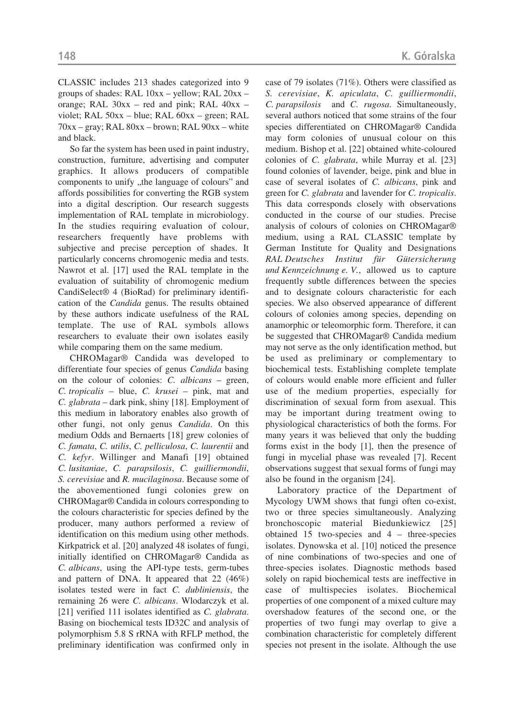CLASSIC includes 213 shades categorized into 9 groups of shades: RAL 10xx – yellow; RAL 20xx – orange; RAL  $30xx$  – red and pink; RAL  $40xx$  – violet; RAL 50xx – blue; RAL 60xx – green; RAL 70xx – gray; RAL 80xx – brown; RAL 90xx – white and black.

So far the system has been used in paint industry, construction, furniture, advertising and computer graphics. It allows producers of compatible components to unify "the language of colours" and affords possibilities for converting the RGB system into a digital description. Our research suggests implementation of RAL template in microbiology. In the studies requiring evaluation of colour, researchers frequently have problems with subjective and precise perception of shades. It particularly concerns chromogenic media and tests. Nawrot et al. [17] used the RAL template in the evaluation of suitability of chromogenic medium CandiSelect® 4 (BioRad) for preliminary identification of the *Candida* genus. The results obtained by these authors indicate usefulness of the RAL template. The use of RAL symbols allows researchers to evaluate their own isolates easily while comparing them on the same medium.

CHROMagar® Candida was developed to differentiate four species of genus *Candida* basing on the colour of colonies: *C. albicans* – green, *C. tropicalis* – blue, *C. krusei* – pink, mat and *C. glabrata* – dark pink, shiny [18]. Employment of this medium in laboratory enables also growth of other fungi, not only genus *Candida*. On this medium Odds and Bernaerts [18] grew colonies of *C. famata*, *C. utilis*, *C. pelliculosa*, *C. laurentii* and *C. kefyr*. Willinger and Manafi [19] obtained *C. lusitaniae*, *C. parapsilosis*, *C. guilliermondii*, *S. cerevisiae* and *R. mucilaginosa*. Because some of the abovementioned fungi colonies grew on CHROMagar® Candida in colours corresponding to the colours characteristic for species defined by the producer, many authors performed a review of identification on this medium using other methods. Kirkpatrick et al. [20] analyzed 48 isolates of fungi, initially identified on CHROMagar® Candida as *C. albicans*, using the API-type tests, germ-tubes and pattern of DNA. It appeared that 22 (46%) isolates tested were in fact *C. dubliniensis*, the remaining 26 were *C. albicans*. Wlodarczyk et al. [21] verified 111 isolates identified as *C. glabrata*. Basing on biochemical tests ID32C and analysis of polymorphism 5.8 S rRNA with RFLP method, the preliminary identification was confirmed only in case of 79 isolates (71%). Others were classified as *S. cerevisiae*, *K. apiculata*, *C. guilliermondii*, *C. parapsilosis* and *C. rugosa*. Simultaneously, several authors noticed that some strains of the four species differentiated on CHROMagar® Candida may form colonies of unusual colour on this medium. Bishop et al. [22] obtained white-coloured colonies of *C. glabrata*, while Murray et al. [23] found colonies of lavender, beige, pink and blue in case of several isolates of *C. albicans*, pink and green for *C. glabrata* and lavender for *C. tropicalis*. This data corresponds closely with observations conducted in the course of our studies. Precise analysis of colours of colonies on CHROMagar® medium, using a RAL CLASSIC template by German Institute for Quality and Designations *RAL Deutsches Institut für Gütersicherung und Kennzeichnung e. V.*, allowed us to capture frequently subtle differences between the species and to designate colours characteristic for each species. We also observed appearance of different colours of colonies among species, depending on anamorphic or teleomorphic form. Therefore, it can be suggested that CHROMagar® Candida medium may not serve as the only identification method, but be used as preliminary or complementary to biochemical tests. Establishing complete template of colours would enable more efficient and fuller use of the medium properties, especially for discrimination of sexual form from asexual. This may be important during treatment owing to physiological characteristics of both the forms. For many years it was believed that only the budding forms exist in the body [1], then the presence of fungi in mycelial phase was revealed [7]. Recent observations suggest that sexual forms of fungi may also be found in the organism [24].

Laboratory practice of the Department of Mycology UWM shows that fungi often co-exist, two or three species simultaneously. Analyzing bronchoscopic material Biedunkiewicz [25] obtained 15 two-species and 4 – three-species isolates. Dynowska et al. [10] noticed the presence of nine combinations of two-species and one of three-species isolates. Diagnostic methods based solely on rapid biochemical tests are ineffective in case of multispecies isolates. Biochemical properties of one component of a mixed culture may overshadow features of the second one, or the properties of two fungi may overlap to give a combination characteristic for completely different species not present in the isolate. Although the use